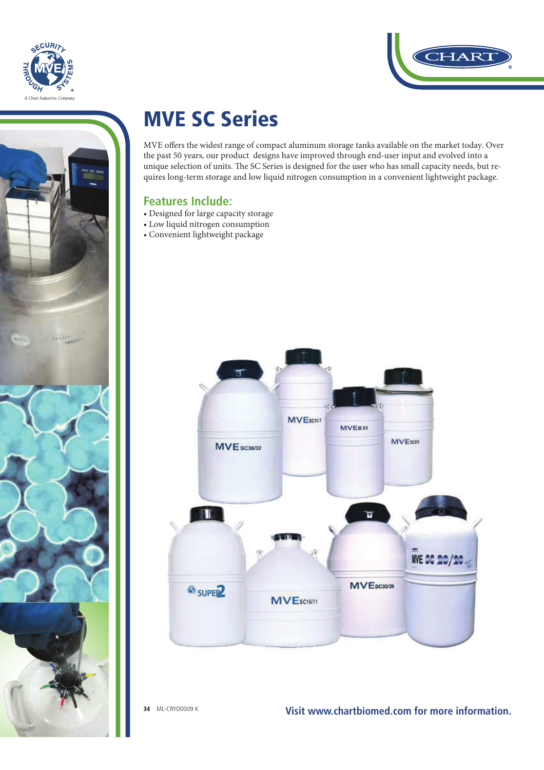



## MVE SC Series

MVE offers the widest range of compact aluminum storage tanks available on the market today. Over the past 50 years, our product designs have improved through end-user input and evolved into a unique selection of units. The SC Series is designed for the user who has small capacity needs, but requires long-term storage and low liquid nitrogen consumption in a convenient lightweight package.

### **Features Include:**

- Designed for large capacity storage
- Low liquid nitrogen consumption
- Convenient lightweight package



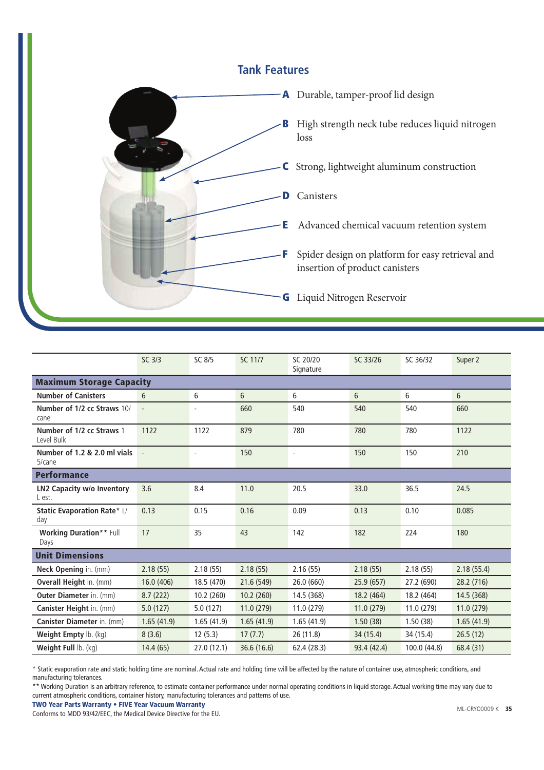#### **Tank Features**



|                                         | SC 3/3                   | SC 8/5                   | SC 11/7     | SC 20/20<br>Signature    | SC 33/26    | SC 36/32     | Super 2    |  |  |  |
|-----------------------------------------|--------------------------|--------------------------|-------------|--------------------------|-------------|--------------|------------|--|--|--|
| <b>Maximum Storage Capacity</b>         |                          |                          |             |                          |             |              |            |  |  |  |
| <b>Number of Canisters</b>              | 6                        | 6                        | 6           | 6                        | 6           | 6            | 6          |  |  |  |
| Number of 1/2 cc Straws 10/<br>cane     | $\overline{\phantom{a}}$ | $\overline{\phantom{a}}$ | 660         | 540                      | 540         | 540          | 660        |  |  |  |
| Number of 1/2 cc Straws 1<br>Level Bulk | 1122                     | 1122                     | 879         | 780                      | 780         | 780          | 1122       |  |  |  |
| Number of 1.2 & 2.0 ml vials<br>5/cane  |                          | $\overline{a}$           | 150         | $\overline{\phantom{a}}$ | 150         | 150          | 210        |  |  |  |
| <b>Performance</b>                      |                          |                          |             |                          |             |              |            |  |  |  |
| LN2 Capacity w/o Inventory<br>L est.    | 3.6                      | 8.4                      | 11.0        | 20.5                     | 33.0        | 36.5         | 24.5       |  |  |  |
| Static Evaporation Rate* L/<br>day      | 0.13                     | 0.15                     | 0.16        | 0.09                     | 0.13        | 0.10         | 0.085      |  |  |  |
| <b>Working Duration** Full</b><br>Days  | 17                       | 35                       | 43          | 142                      | 182         | 224          | 180        |  |  |  |
| <b>Unit Dimensions</b>                  |                          |                          |             |                          |             |              |            |  |  |  |
| Neck Opening in. (mm)                   | 2.18(55)                 | 2.18(55)                 | 2.18(55)    | 2.16(55)                 | 2.18(55)    | 2.18(55)     | 2.18(55.4) |  |  |  |
| <b>Overall Height in. (mm)</b>          | 16.0 (406)               | 18.5 (470)               | 21.6 (549)  | 26.0 (660)               | 25.9(657)   | 27.2 (690)   | 28.2 (716) |  |  |  |
| <b>Outer Diameter</b> in. (mm)          | 8.7(222)                 | 10.2(260)                | 10.2(260)   | 14.5 (368)               | 18.2 (464)  | 18.2 (464)   | 14.5 (368) |  |  |  |
| Canister Height in. (mm)                | 5.0(127)                 | 5.0(127)                 | 11.0(279)   | 11.0 (279)               | 11.0(279)   | 11.0 (279)   | 11.0(279)  |  |  |  |
| <b>Canister Diameter in. (mm)</b>       | 1.65(41.9)               | 1.65(41.9)               | 1.65(41.9)  | 1.65(41.9)               | 1.50(38)    | 1.50(38)     | 1.65(41.9) |  |  |  |
| Weight Empty lb. (kg)                   | 8(3.6)                   | 12(5.3)                  | 17(7.7)     | 26 (11.8)                | 34 (15.4)   | 34 (15.4)    | 26.5(12)   |  |  |  |
| Weight Full lb. (kg)                    | 14.4 (65)                | 27.0(12.1)               | 36.6 (16.6) | 62.4 (28.3)              | 93.4 (42.4) | 100.0 (44.8) | 68.4 (31)  |  |  |  |

\* Static evaporation rate and static holding time are nominal. Actual rate and holding time will be affected by the nature of container use, atmospheric conditions, and manufacturing tolerances.

\*\* Working Duration is an arbitrary reference, to estimate container performance under normal operating conditions in liquid storage. Actual working time may vary due to current atmospheric conditions, container history, manufacturing tolerances and patterns of use.

TWO Year Parts Warranty • FIVE Year Vacuum Warranty

Conforms to MDD 93/42/EEC, the Medical Device Directive for the EU.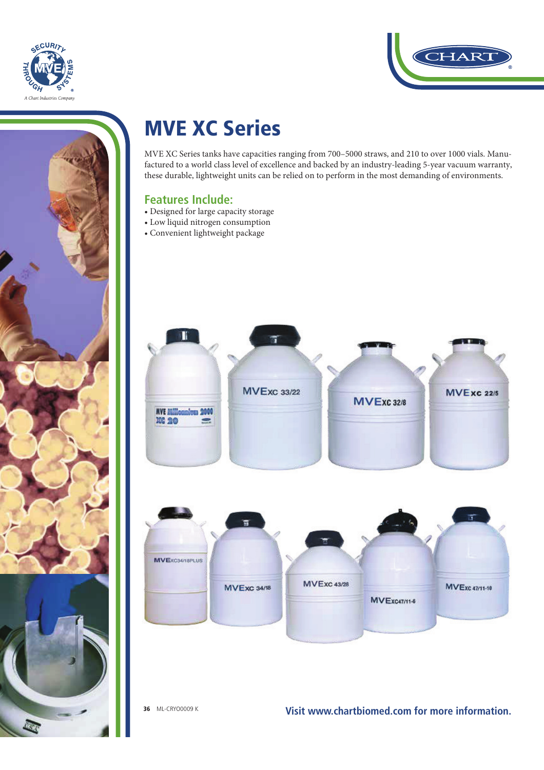



# HAR

## MVE XC Series

MVE XC Series tanks have capacities ranging from 700–5000 straws, and 210 to over 1000 vials. Manufactured to a world class level of excellence and backed by an industry-leading 5-year vacuum warranty, these durable, lightweight units can be relied on to perform in the most demanding of environments.

## **Features Include:**

- Designed for large capacity storage
- Low liquid nitrogen consumption
- Convenient lightweight package

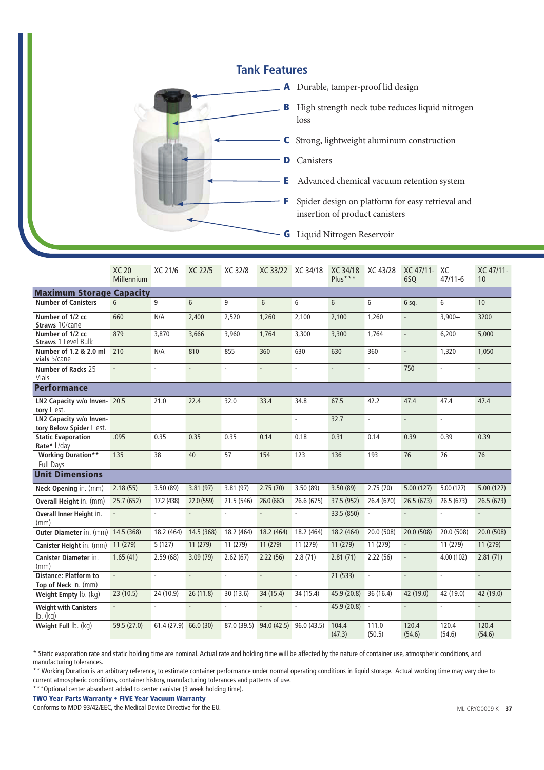#### **Tank Features**



|                                                      | <b>XC 20</b><br>Millennium | XC 21/6       | XC 22/5                  | XC 32/8     |                             | XC 33/22 XC 34/18           | XC 34/18<br>Plus***         | XC 43/28        | XC 47/11-<br>6SQ         | XC<br>$47/11 - 6$           | XC 47/11-<br>10 |
|------------------------------------------------------|----------------------------|---------------|--------------------------|-------------|-----------------------------|-----------------------------|-----------------------------|-----------------|--------------------------|-----------------------------|-----------------|
| <b>Maximum Storage Capacity</b>                      |                            |               |                          |             |                             |                             |                             |                 |                          |                             |                 |
| <b>Number of Canisters</b>                           | 6                          | 9             | 6                        | 9           | 6                           | 6                           | 6                           | 6               | $6$ sq.                  | 6                           | 10              |
| Number of 1/2 cc<br>Straws 10/cane                   | 660                        | N/A           | 2,400                    | 2,520       | 1,260                       | 2,100                       | 2,100                       | 1,260           | ä,                       | $3,900+$                    | 3200            |
| Number of 1/2 cc<br>Straws 1 Level Bulk              | 879                        | 3,870         | 3,666                    | 3,960       | 1,764                       | 3,300                       | 3,300                       | 1,764           | $\overline{\phantom{a}}$ | 6,200                       | 5,000           |
| Number of 1.2 & 2.0 ml<br>vials 5/cane               | 210                        | N/A           | 810                      | 855         | 360                         | 630                         | 630                         | 360             | ÷,                       | 1,320                       | 1,050           |
| Number of Racks 25<br>Vials                          |                            | ä,            | ä,                       | ä,          | $\mathcal{L}^{\mathcal{A}}$ | $\mathcal{L}^{\mathcal{A}}$ | $\mathcal{L}^{\mathcal{A}}$ | ÷.              | 750                      | $\mathcal{L}_{\mathcal{A}}$ | $\sim$          |
| <b>Performance</b>                                   |                            |               |                          |             |                             |                             |                             |                 |                          |                             |                 |
| LN2 Capacity w/o Inven- 20.5<br>tory L est.          |                            | 21.0          | 22.4                     | 32.0        | 33.4                        | 34.8                        | 67.5                        | 42.2            | 47.4                     | 47.4                        | 47.4            |
| LN2 Capacity w/o Inven-<br>tory Below Spider L est.  |                            |               |                          |             |                             | ä,                          | 32.7                        | ä,              | ä,                       | ÷.                          |                 |
| <b>Static Evaporation</b><br>Rate* L/day             | .095                       | 0.35          | 0.35                     | 0.35        | 0.14                        | 0.18                        | 0.31                        | 0.14            | 0.39                     | 0.39                        | 0.39            |
| <b>Working Duration**</b><br>Full Days               | 135                        | 38            | 40                       | 57          | 154                         | 123                         | 136                         | 193             | 76                       | 76                          | 76              |
| <b>Unit Dimensions</b>                               |                            |               |                          |             |                             |                             |                             |                 |                          |                             |                 |
| Neck Opening in. (mm)                                | 2.18(55)                   | 3.50(89)      | 3.81(97)                 | 3.81(97)    | 2.75(70)                    | 3.50(89)                    | 3.50(89)                    | 2.75(70)        | 5.00(127)                | 5.00(127)                   | 5.00(127)       |
| Overall Height in. (mm)                              | 25.7 (652)                 | 17.2 (438)    | 22.0 (559)               | 21.5 (546)  | 26.0 (660)                  | 26.6 (675)                  | 37.5 (952)                  | 26.4 (670)      | 26.5(673)                | 26.5(673)                   | 26.5(673)       |
| Overall Inner Height in.<br>(mm)                     |                            | $\sim$        | $\sim$                   | L.          | ä,                          | ä,                          | 33.5 (850)                  |                 | ä,                       |                             | ä,              |
| <b>Outer Diameter in. (mm)</b>                       | 14.5 (368)                 | 18.2 (464)    | 14.5 (368)               | 18.2 (464)  | 18.2 (464)                  | 18.2 (464)                  | 18.2 (464)                  | 20.0 (508)      | 20.0 (508)               | 20.0 (508)                  | 20.0 (508)      |
| Canister Height in. (mm)                             | 11 (279)                   | 5(127)        | 11(279)                  | 11 (279)    | 11 (279)                    | 11 (279)                    | 11 (279)                    | 11(279)         | ÷,                       | 11 (279)                    | 11(279)         |
| <b>Canister Diameter in.</b><br>(mm)                 | 1.65(41)                   | 2.59(68)      | 3.09(79)                 | 2.62(67)    | 2.22(56)                    | 2.8(71)                     | 2.81(71)                    | 2.22(56)        | $\overline{\phantom{a}}$ | 4.00 (102)                  | 2.81(71)        |
| <b>Distance: Platform to</b><br>Top of Neck in. (mm) | $\mathcal{L}$              | $\mathcal{L}$ | ä,                       |             | ÷.                          | L.                          | 21(533)                     |                 | L,                       | $\overline{\phantom{a}}$    | $\sim$          |
| Weight Empty lb. (kg)                                | 23 (10.5)                  | 24 (10.9)     | 26(11.8)                 | 30 (13.6)   | 34 (15.4)                   | 34 (15.4)                   | 45.9 (20.8)                 | 36 (16.4)       | 42 (19.0)                | 42 (19.0)                   | 42 (19.0)       |
| <b>Weight with Canisters</b><br>$lb.$ (kg)           |                            |               | $\overline{\phantom{a}}$ | ٠           | L.                          | ÷.                          | 45.9 (20.8) -               |                 | $\overline{\phantom{a}}$ | $\overline{\phantom{a}}$    |                 |
| Weight Full lb. (kg)                                 | 59.5 (27.0)                | 61.4(27.9)    | 66.0 (30)                | 87.0 (39.5) | 94.0 (42.5)                 | 96.0(43.5)                  | 104.4<br>(47.3)             | 111.0<br>(50.5) | 120.4<br>(54.6)          | 120.4<br>(54.6)             | 120.4<br>(54.6) |

\* Static evaporation rate and static holding time are nominal. Actual rate and holding time will be affected by the nature of container use, atmospheric conditions, and manufacturing tolerances.

\*\* Working Duration is an arbitrary reference, to estimate container performance under normal operating conditions in liquid storage. Actual working time may vary due to current atmospheric conditions, container history, manufacturing tolerances and patterns of use.

\*\*\*Optional center absorbent added to center canister (3 week holding time).

#### TWO Year Parts Warranty • FIVE Year Vacuum Warranty

Conforms to MDD 93/42/EEC, the Medical Device Directive for the EU.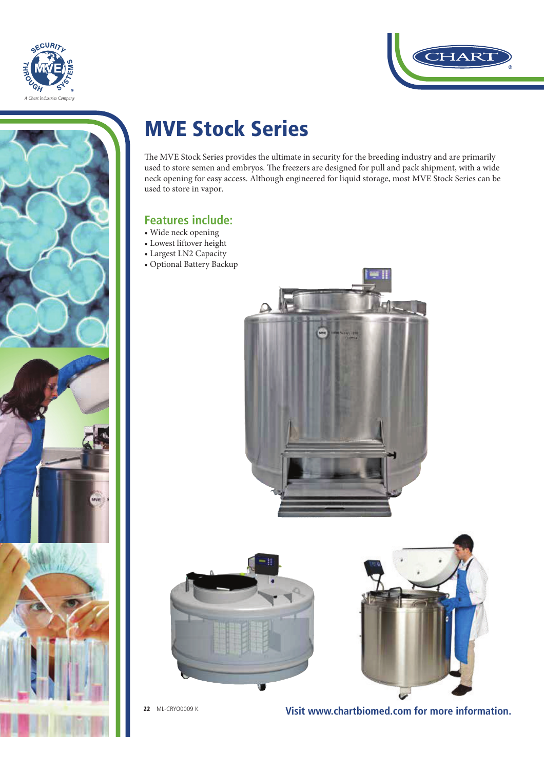



# MVE Stock Series

The MVE Stock Series provides the ultimate in security for the breeding industry and are primarily used to store semen and embryos. The freezers are designed for pull and pack shipment, with a wide neck opening for easy access. Although engineered for liquid storage, most MVE Stock Series can be used to store in vapor.

### **Features include:**

- Wide neck opening
- Lowest liftover height
- Largest LN2 Capacity
- Optional Battery Backup







**22** ML-CRYO0009 K **Visit www.chartbiomed.com for more information.**